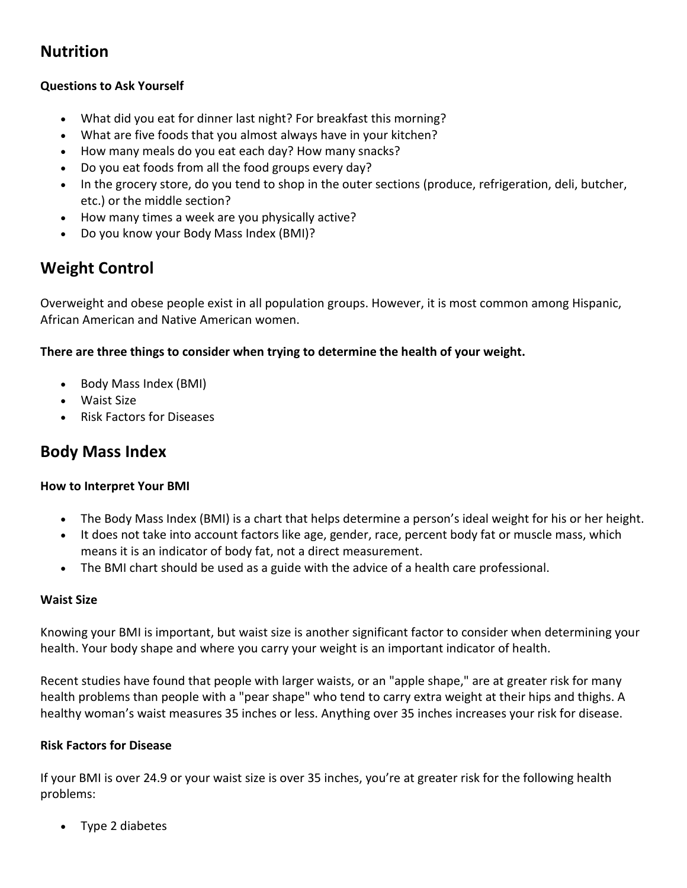## **Nutrition**

## **Questions to Ask Yourself**

- What did you eat for dinner last night? For breakfast this morning?
- What are five foods that you almost always have in your kitchen?
- How many meals do you eat each day? How many snacks?
- Do you eat foods from all the food groups every day?
- In the grocery store, do you tend to shop in the outer sections (produce, refrigeration, deli, butcher, etc.) or the middle section?
- How many times a week are you physically active?
- Do you know your Body Mass Index (BMI)?

# **Weight Control**

Overweight and obese people exist in all population groups. However, it is most common among Hispanic, African American and Native American women.

## **There are three things to consider when trying to determine the health of your weight.**

- Body Mass Index (BMI)
- Waist Size
- Risk Factors for Diseases

## **Body Mass Index**

## **How to Interpret Your BMI**

- The Body Mass Index (BMI) is a chart that helps determine a person's ideal weight for his or her height.
- It does not take into account factors like age, gender, race, percent body fat or muscle mass, which means it is an indicator of body fat, not a direct measurement.
- The BMI chart should be used as a guide with the advice of a health care professional.

## **Waist Size**

Knowing your BMI is important, but waist size is another significant factor to consider when determining your health. Your body shape and where you carry your weight is an important indicator of health.

Recent studies have found that people with larger waists, or an "apple shape," are at greater risk for many health problems than people with a "pear shape" who tend to carry extra weight at their hips and thighs. A healthy woman's waist measures 35 inches or less. Anything over 35 inches increases your risk for disease.

## **Risk Factors for Disease**

If your BMI is over 24.9 or your waist size is over 35 inches, you're at greater risk for the following health problems:

• Type 2 diabetes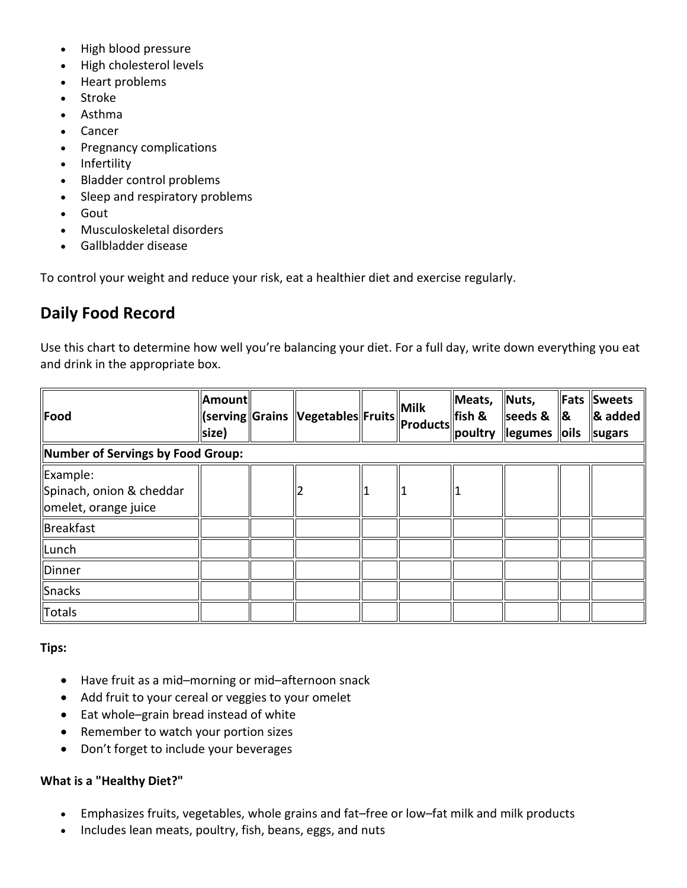- High blood pressure
- High cholesterol levels
- Heart problems
- Stroke
- Asthma
- Cancer
- Pregnancy complications
- Infertility
- Bladder control problems
- Sleep and respiratory problems
- Gout
- Musculoskeletal disorders
- Gallbladder disease

To control your weight and reduce your risk, eat a healthier diet and exercise regularly.

## **Daily Food Record**

Use this chart to determine how well you're balancing your diet. For a full day, write down everything you eat and drink in the appropriate box.

| <b>Food</b>                                                  | Amount<br>size) |  | (serving Grains  Vegetables Fruits |  | <b>Milk</b><br><b>Products</b> | Meats,<br>fish &<br>poultry | Nuts,<br>seeds &<br><b>legumes</b> loils | Fats<br><u>  &amp;</u> | <b>Sweets</b><br>$\alpha$ added<br>sugars |
|--------------------------------------------------------------|-----------------|--|------------------------------------|--|--------------------------------|-----------------------------|------------------------------------------|------------------------|-------------------------------------------|
| Number of Servings by Food Group:                            |                 |  |                                    |  |                                |                             |                                          |                        |                                           |
| Example:<br>Spinach, onion & cheddar<br>omelet, orange juice |                 |  |                                    |  |                                |                             |                                          |                        |                                           |
| Breakfast                                                    |                 |  |                                    |  |                                |                             |                                          |                        |                                           |
| Lunch                                                        |                 |  |                                    |  |                                |                             |                                          |                        |                                           |
| Dinner                                                       |                 |  |                                    |  |                                |                             |                                          |                        |                                           |
| Snacks                                                       |                 |  |                                    |  |                                |                             |                                          |                        |                                           |
| Totals                                                       |                 |  |                                    |  |                                |                             |                                          |                        |                                           |

#### **Tips:**

- Have fruit as a mid–morning or mid–afternoon snack
- Add fruit to your cereal or veggies to your omelet
- Eat whole–grain bread instead of white
- Remember to watch your portion sizes
- Don't forget to include your beverages

#### **What is a "Healthy Diet?"**

- Emphasizes fruits, vegetables, whole grains and fat–free or low–fat milk and milk products
- Includes lean meats, poultry, fish, beans, eggs, and nuts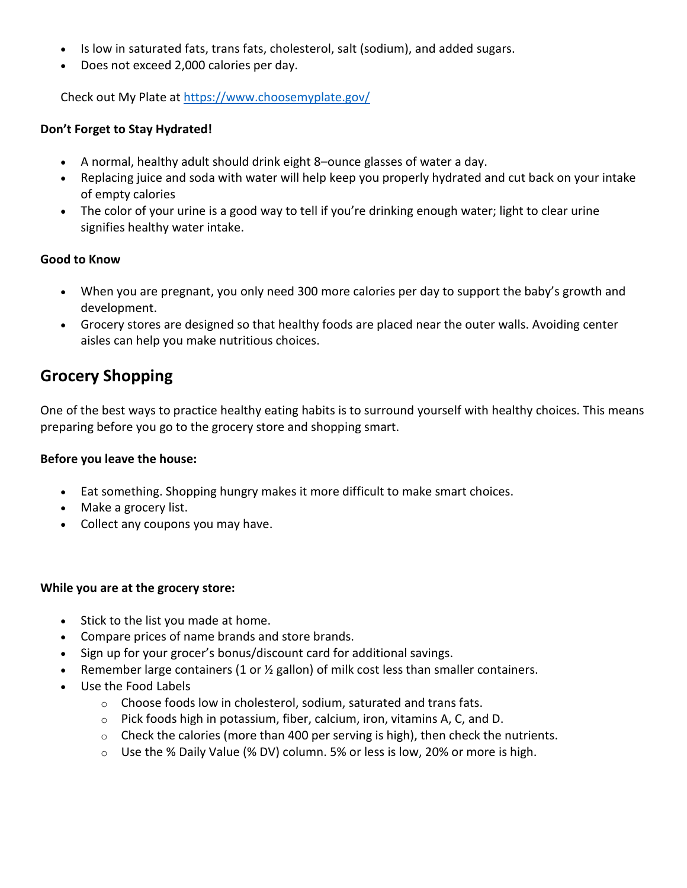- Is low in saturated fats, trans fats, cholesterol, salt (sodium), and added sugars.
- Does not exceed 2,000 calories per day.

Check out My Plate at <https://www.choosemyplate.gov/>

## **Don't Forget to Stay Hydrated!**

- A normal, healthy adult should drink eight 8–ounce glasses of water a day.
- Replacing juice and soda with water will help keep you properly hydrated and cut back on your intake of empty calories
- The color of your urine is a good way to tell if you're drinking enough water; light to clear urine signifies healthy water intake.

## **Good to Know**

- When you are pregnant, you only need 300 more calories per day to support the baby's growth and development.
- Grocery stores are designed so that healthy foods are placed near the outer walls. Avoiding center aisles can help you make nutritious choices.

## **Grocery Shopping**

One of the best ways to practice healthy eating habits is to surround yourself with healthy choices. This means preparing before you go to the grocery store and shopping smart.

## **Before you leave the house:**

- Eat something. Shopping hungry makes it more difficult to make smart choices.
- Make a grocery list.
- Collect any coupons you may have.

## **While you are at the grocery store:**

- Stick to the list you made at home.
- Compare prices of name brands and store brands.
- Sign up for your grocer's bonus/discount card for additional savings.
- Remember large containers (1 or ½ gallon) of milk cost less than smaller containers.
- Use the Food Labels
	- $\circ$  Choose foods low in cholesterol, sodium, saturated and trans fats.
	- o Pick foods high in potassium, fiber, calcium, iron, vitamins A, C, and D.
	- $\circ$  Check the calories (more than 400 per serving is high), then check the nutrients.
	- $\circ$  Use the % Daily Value (% DV) column. 5% or less is low, 20% or more is high.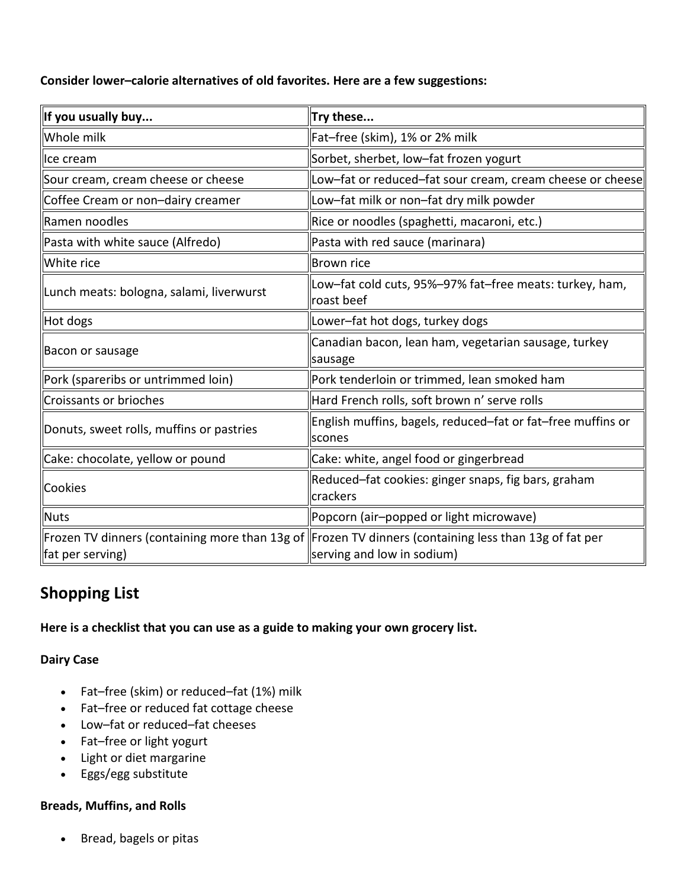**Consider lower–calorie alternatives of old favorites. Here are a few suggestions:**

| If you usually buy                       | Try these                                                                                                                             |
|------------------------------------------|---------------------------------------------------------------------------------------------------------------------------------------|
| Whole milk                               | Fat-free (skim), 1% or 2% milk                                                                                                        |
| Ice cream                                | Sorbet, sherbet, low-fat frozen yogurt                                                                                                |
| Sour cream, cream cheese or cheese       | Low-fat or reduced-fat sour cream, cream cheese or cheese                                                                             |
| Coffee Cream or non-dairy creamer        | Low-fat milk or non-fat dry milk powder                                                                                               |
| Ramen noodles                            | Rice or noodles (spaghetti, macaroni, etc.)                                                                                           |
| Pasta with white sauce (Alfredo)         | Pasta with red sauce (marinara)                                                                                                       |
| White rice                               | <b>Brown rice</b>                                                                                                                     |
| Lunch meats: bologna, salami, liverwurst | Low-fat cold cuts, 95%-97% fat-free meats: turkey, ham,<br>roast beef                                                                 |
| Hot dogs                                 | Lower-fat hot dogs, turkey dogs                                                                                                       |
| Bacon or sausage                         | Canadian bacon, lean ham, vegetarian sausage, turkey<br>sausage                                                                       |
| Pork (spareribs or untrimmed loin)       | Pork tenderloin or trimmed, lean smoked ham                                                                                           |
| Croissants or brioches                   | Hard French rolls, soft brown n' serve rolls                                                                                          |
| Donuts, sweet rolls, muffins or pastries | English muffins, bagels, reduced-fat or fat-free muffins or<br><b>scones</b>                                                          |
| Cake: chocolate, yellow or pound         | Cake: white, angel food or gingerbread                                                                                                |
| Cookies                                  | Reduced-fat cookies: ginger snaps, fig bars, graham<br>crackers                                                                       |
| <b>Nuts</b>                              | Popcorn (air-popped or light microwave)                                                                                               |
| fat per serving)                         | Frozen TV dinners (containing more than 13g of   Frozen TV dinners (containing less than 13g of fat per<br>serving and low in sodium) |

# **Shopping List**

**Here is a checklist that you can use as a guide to making your own grocery list.**

## **Dairy Case**

- Fat–free (skim) or reduced–fat (1%) milk
- Fat–free or reduced fat cottage cheese
- Low–fat or reduced–fat cheeses
- Fat–free or light yogurt
- Light or diet margarine
- Eggs/egg substitute

## **Breads, Muffins, and Rolls**

• Bread, bagels or pitas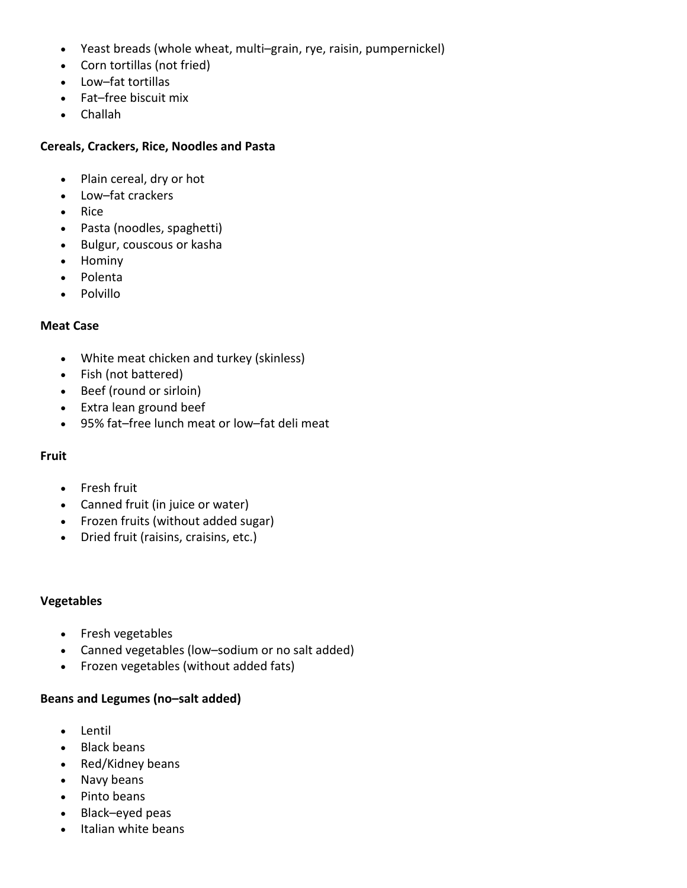- Yeast breads (whole wheat, multi–grain, rye, raisin, pumpernickel)
- Corn tortillas (not fried)
- Low–fat tortillas
- Fat–free biscuit mix
- Challah

#### **Cereals, Crackers, Rice, Noodles and Pasta**

- Plain cereal, dry or hot
- Low–fat crackers
- Rice
- Pasta (noodles, spaghetti)
- Bulgur, couscous or kasha
- Hominy
- Polenta
- Polvillo

#### **Meat Case**

- White meat chicken and turkey (skinless)
- Fish (not battered)
- Beef (round or sirloin)
- Extra lean ground beef
- 95% fat–free lunch meat or low–fat deli meat

#### **Fruit**

- Fresh fruit
- Canned fruit (in juice or water)
- Frozen fruits (without added sugar)
- Dried fruit (raisins, craisins, etc.)

#### **Vegetables**

- Fresh vegetables
- Canned vegetables (low–sodium or no salt added)
- Frozen vegetables (without added fats)

#### **Beans and Legumes (no–salt added)**

- Lentil
- Black beans
- Red/Kidney beans
- Navy beans
- Pinto beans
- Black–eyed peas
- Italian white beans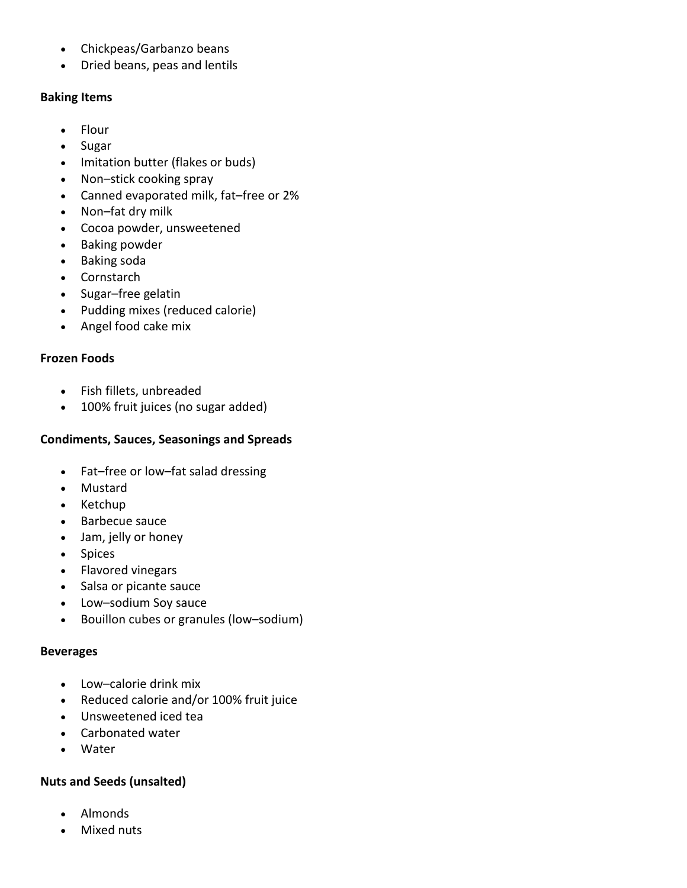- Chickpeas/Garbanzo beans
- Dried beans, peas and lentils

## **Baking Items**

- Flour
- Sugar
- Imitation butter (flakes or buds)
- Non–stick cooking spray
- Canned evaporated milk, fat–free or 2%
- Non–fat dry milk
- Cocoa powder, unsweetened
- Baking powder
- Baking soda
- Cornstarch
- Sugar–free gelatin
- Pudding mixes (reduced calorie)
- Angel food cake mix

## **Frozen Foods**

- Fish fillets, unbreaded
- 100% fruit juices (no sugar added)

## **Condiments, Sauces, Seasonings and Spreads**

- Fat–free or low–fat salad dressing
- Mustard
- Ketchup
- Barbecue sauce
- Jam, jelly or honey
- Spices
- Flavored vinegars
- Salsa or picante sauce
- Low–sodium Soy sauce
- Bouillon cubes or granules (low–sodium)

## **Beverages**

- Low–calorie drink mix
- Reduced calorie and/or 100% fruit juice
- Unsweetened iced tea
- Carbonated water
- Water

## **Nuts and Seeds (unsalted)**

- Almonds
- Mixed nuts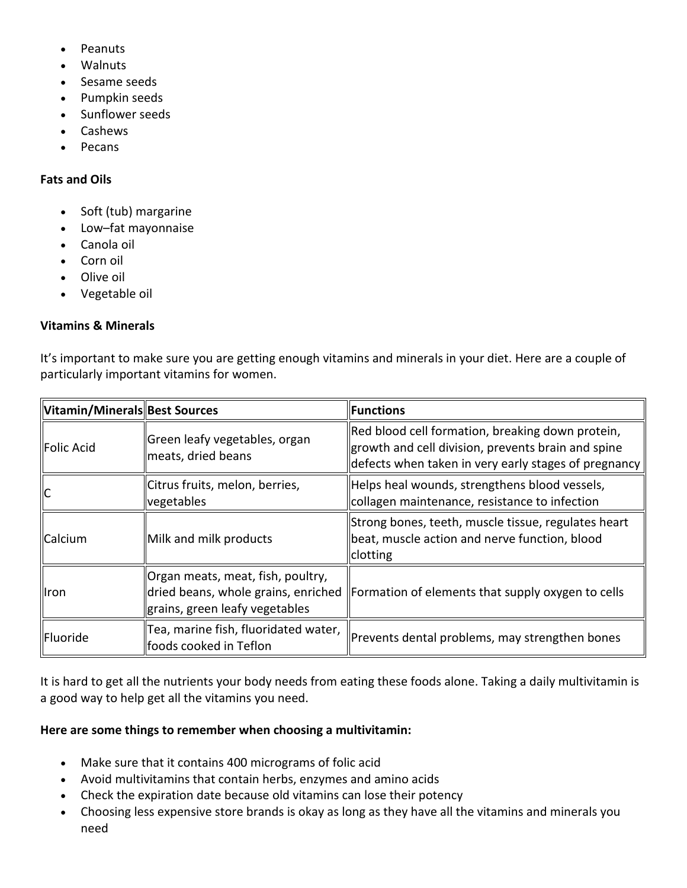- Peanuts
- Walnuts
- Sesame seeds
- Pumpkin seeds
- Sunflower seeds
- Cashews
- Pecans

#### **Fats and Oils**

- Soft (tub) margarine
- Low–fat mayonnaise
- Canola oil
- Corn oil
- Olive oil
- Vegetable oil

#### **Vitamins & Minerals**

It's important to make sure you are getting enough vitamins and minerals in your diet. Here are a couple of particularly important vitamins for women.

| Vitamin/Minerals Best Sources |                                                                                                            | <b>Functions</b>                                                                                                                                               |
|-------------------------------|------------------------------------------------------------------------------------------------------------|----------------------------------------------------------------------------------------------------------------------------------------------------------------|
| Folic Acid                    | Green leafy vegetables, organ<br>meats, dried beans                                                        | Red blood cell formation, breaking down protein,<br>growth and cell division, prevents brain and spine<br>defects when taken in very early stages of pregnancy |
| IС                            | Citrus fruits, melon, berries,<br>vegetables                                                               | Helps heal wounds, strengthens blood vessels,<br>collagen maintenance, resistance to infection                                                                 |
| Calcium                       | Milk and milk products                                                                                     | Strong bones, teeth, muscle tissue, regulates heart<br>beat, muscle action and nerve function, blood<br><b>Clotting</b>                                        |
| <b>I</b> ron                  | Organ meats, meat, fish, poultry,<br>dried beans, whole grains, enriched<br>grains, green leafy vegetables | Formation of elements that supply oxygen to cells                                                                                                              |
| Fluoride                      | Tea, marine fish, fluoridated water,<br>foods cooked in Teflon                                             | Prevents dental problems, may strengthen bones                                                                                                                 |

It is hard to get all the nutrients your body needs from eating these foods alone. Taking a daily multivitamin is a good way to help get all the vitamins you need.

#### **Here are some things to remember when choosing a multivitamin:**

- Make sure that it contains 400 micrograms of folic acid
- Avoid multivitamins that contain herbs, enzymes and amino acids
- Check the expiration date because old vitamins can lose their potency
- Choosing less expensive store brands is okay as long as they have all the vitamins and minerals you need